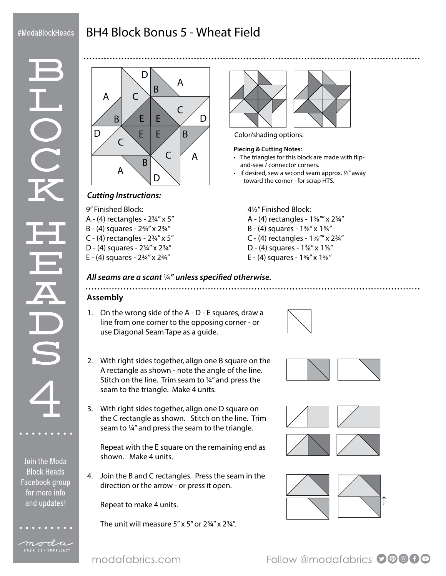## #ModaBlockHeads

# BH4 Block Bonus 5 - Wheat Field



### *Cutting Instructions:*

9" Finished Block:

- A  $(4)$  rectangles  $2\frac{3}{4}$ " x 5"
- B (4) squares 2¾" x 2¾"
- C (4) rectangles  $2\frac{3}{4}$ " x 5"
- D (4) squares 2¾" x 2¾"
- E (4) squares 2¾" x 2¾"



Color/shading options.

#### **Piecing & Cutting Notes:**

- The triangles for this block are made with flipand-sew / connector corners.
- $\cdot$  If desired, sew a second seam approx.  $\frac{1}{2}$  away - toward the corner - for scrap HTS.

#### 4½" Finished Block:

- A (4) rectangles 1⅝"" x 2¾"
- B (4) squares 1⅝" x 1⅝"
- C (4) rectangles 1⅝"" x 2¾"
- D (4) squares 1⅝" x 1⅝"
- E (4) squares 1⅝" x 1⅝"

#### *All seams are a scant* ¼*" unless specified otherwise.*

## **Assembly**

- 1. On the wrong side of the A D E squares, draw a line from one corner to the opposing corner - or use Diagonal Seam Tape as a guide.
- 2. With right sides together, align one B square on the A rectangle as shown - note the angle of the line. Stitch on the line. Trim seam to ¼" and press the seam to the triangle. Make 4 units.
- 3. With right sides together, align one D square on the C rectangle as shown. Stitch on the line. Trim seam to ¼" and press the seam to the triangle.

Repeat with the E square on the remaining end as shown. Make 4 units.

4. Join the B and C rectangles. Press the seam in the direction or the arrow - or press it open.

Repeat to make 4 units.

The unit will measure  $5''$  x  $5''$  or  $2\frac{3}{4}''$  x  $2\frac{3}{4}''$ .











Join the Moda **Block Heads** Facebook group for more info and updates!



moda FABRICS + SUPPLIES®